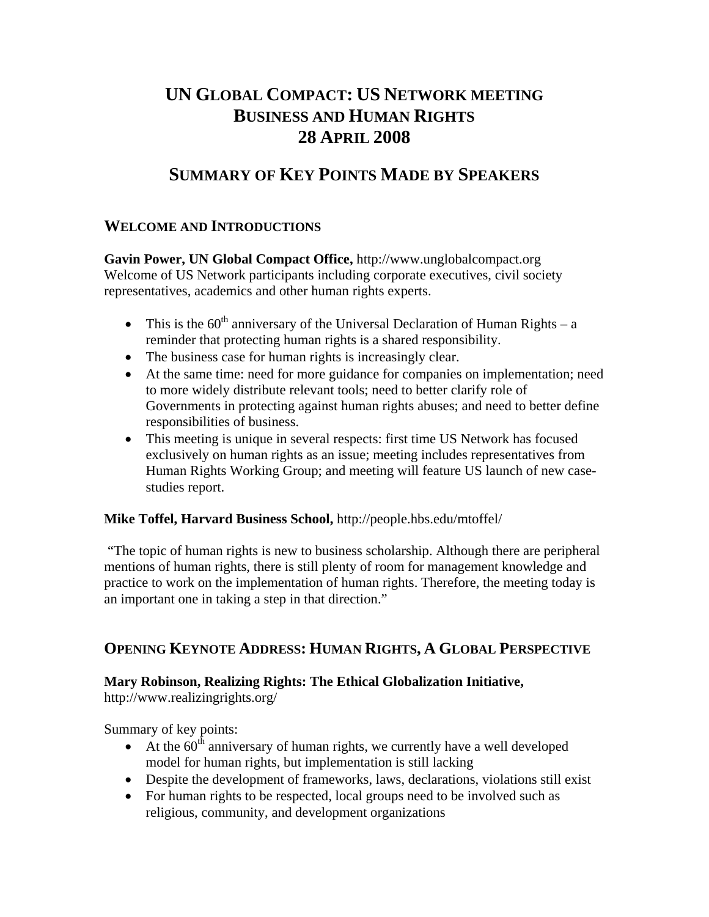# **UN GLOBAL COMPACT: US NETWORK MEETING BUSINESS AND HUMAN RIGHTS 28 APRIL 2008**

## **SUMMARY OF KEY POINTS MADE BY SPEAKERS**

## **WELCOME AND INTRODUCTIONS**

**Gavin Power, UN Global Compact Office,** http://www.unglobalcompact.org Welcome of US Network participants including corporate executives, civil society representatives, academics and other human rights experts.

- This is the  $60^{th}$  anniversary of the Universal Declaration of Human Rights a reminder that protecting human rights is a shared responsibility.
- The business case for human rights is increasingly clear.
- At the same time: need for more guidance for companies on implementation; need to more widely distribute relevant tools; need to better clarify role of Governments in protecting against human rights abuses; and need to better define responsibilities of business.
- This meeting is unique in several respects: first time US Network has focused exclusively on human rights as an issue; meeting includes representatives from Human Rights Working Group; and meeting will feature US launch of new casestudies report.

### **Mike Toffel, Harvard Business School,** http://people.hbs.edu/mtoffel/

 "The topic of human rights is new to business scholarship. Although there are peripheral mentions of human rights, there is still plenty of room for management knowledge and practice to work on the implementation of human rights. Therefore, the meeting today is an important one in taking a step in that direction."

## **OPENING KEYNOTE ADDRESS: HUMAN RIGHTS, A GLOBAL PERSPECTIVE**

## **Mary Robinson, Realizing Rights: The Ethical Globalization Initiative,**

http://www.realizingrights.org/

Summary of key points:

- At the  $60<sup>th</sup>$  anniversary of human rights, we currently have a well developed model for human rights, but implementation is still lacking
- Despite the development of frameworks, laws, declarations, violations still exist
- For human rights to be respected, local groups need to be involved such as religious, community, and development organizations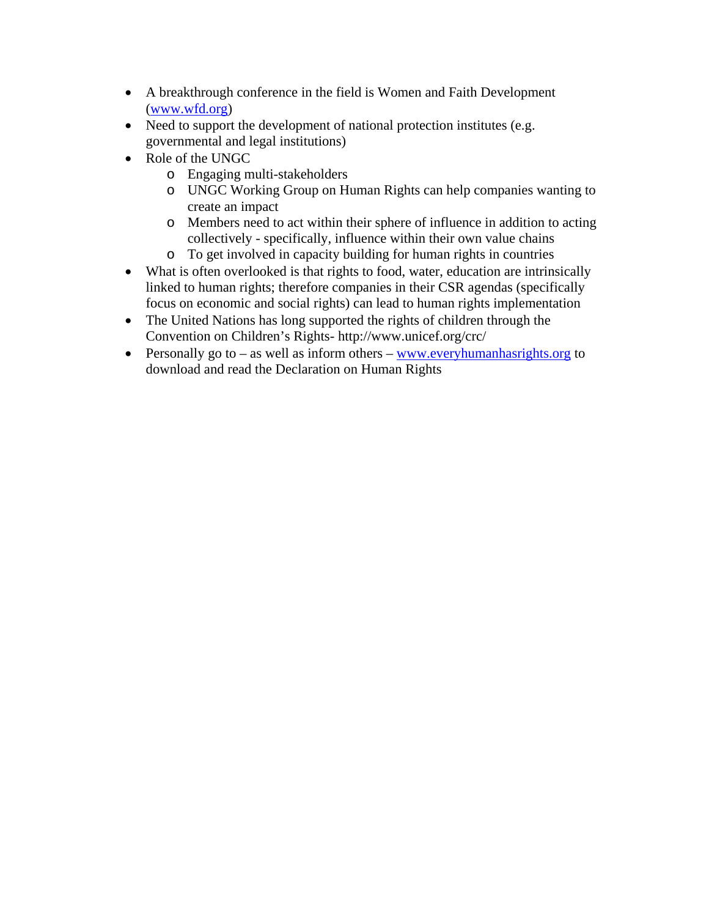- A breakthrough conference in the field is Women and Faith Development (www.wfd.org)
- Need to support the development of national protection institutes (e.g. governmental and legal institutions)
- Role of the UNGC
	- o Engaging multi-stakeholders
	- o UNGC Working Group on Human Rights can help companies wanting to create an impact
	- o Members need to act within their sphere of influence in addition to acting collectively - specifically, influence within their own value chains
	- o To get involved in capacity building for human rights in countries
- What is often overlooked is that rights to food, water, education are intrinsically linked to human rights; therefore companies in their CSR agendas (specifically focus on economic and social rights) can lead to human rights implementation
- The United Nations has long supported the rights of children through the Convention on Children's Rights- http://www.unicef.org/crc/
- Personally go to as well as inform others www.everyhumanhasrights.org to download and read the Declaration on Human Rights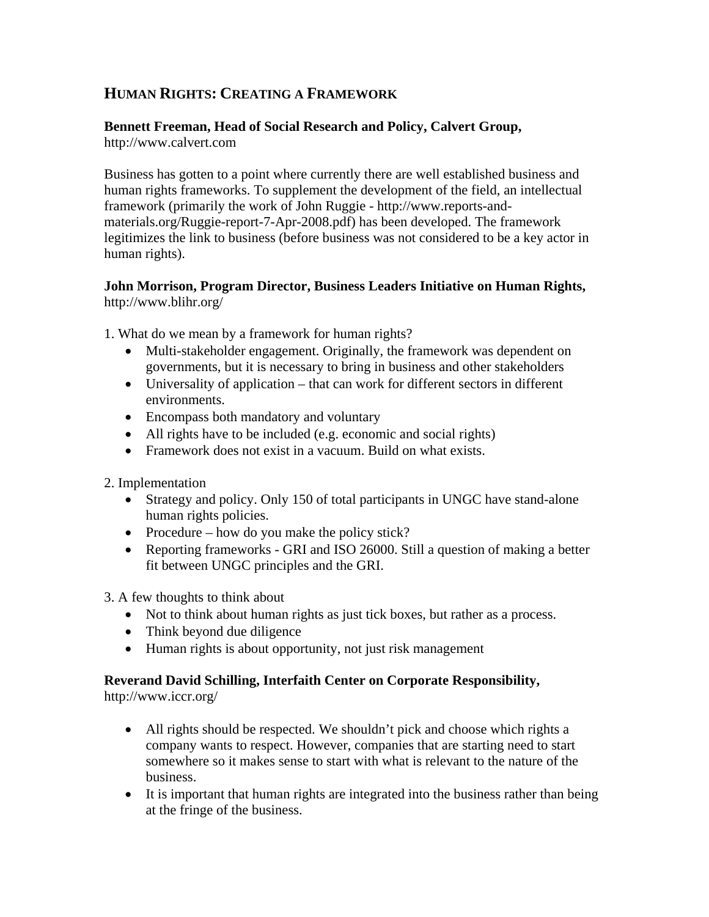## **HUMAN RIGHTS: CREATING A FRAMEWORK**

### **Bennett Freeman, Head of Social Research and Policy, Calvert Group,**

http://www.calvert.com

Business has gotten to a point where currently there are well established business and human rights frameworks. To supplement the development of the field, an intellectual framework (primarily the work of John Ruggie - http://www.reports-andmaterials.org/Ruggie-report-7-Apr-2008.pdf) has been developed. The framework legitimizes the link to business (before business was not considered to be a key actor in human rights).

### **John Morrison, Program Director, Business Leaders Initiative on Human Rights,**  http://www.blihr.org/

- 1. What do we mean by a framework for human rights?
	- Multi-stakeholder engagement. Originally, the framework was dependent on governments, but it is necessary to bring in business and other stakeholders
	- Universality of application that can work for different sectors in different environments.
	- Encompass both mandatory and voluntary
	- All rights have to be included (e.g. economic and social rights)
	- Framework does not exist in a vacuum. Build on what exists.
- 2. Implementation
	- Strategy and policy. Only 150 of total participants in UNGC have stand-alone human rights policies.
	- Procedure how do you make the policy stick?
	- Reporting frameworks GRI and ISO 26000. Still a question of making a better fit between UNGC principles and the GRI.
- 3. A few thoughts to think about
	- Not to think about human rights as just tick boxes, but rather as a process.
	- Think beyond due diligence
	- Human rights is about opportunity, not just risk management

## **Reverand David Schilling, Interfaith Center on Corporate Responsibility,**

http://www.iccr.org/

- All rights should be respected. We shouldn't pick and choose which rights a company wants to respect. However, companies that are starting need to start somewhere so it makes sense to start with what is relevant to the nature of the business.
- It is important that human rights are integrated into the business rather than being at the fringe of the business.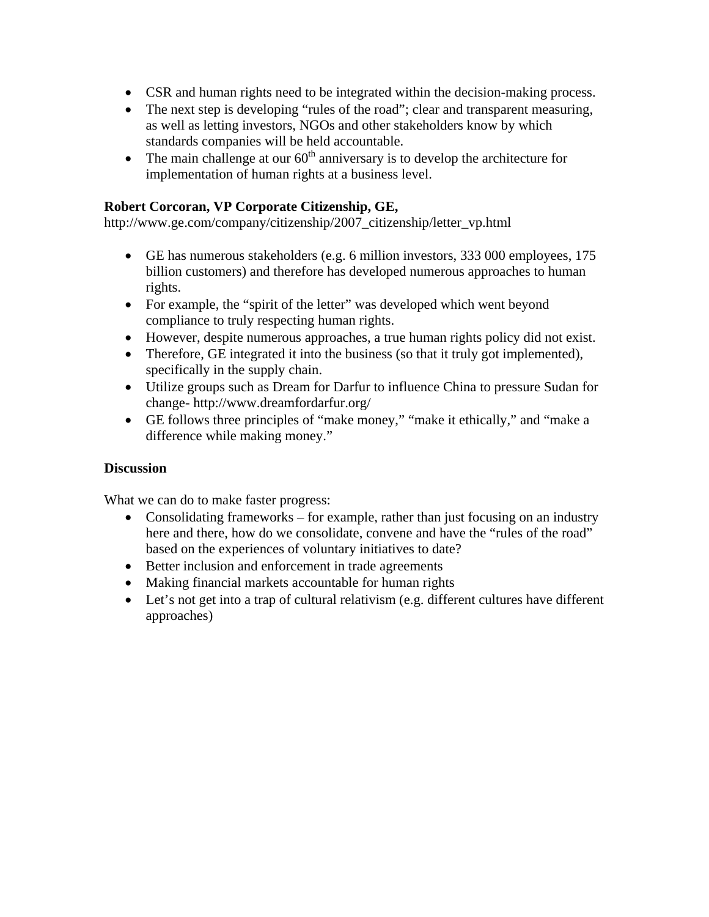- CSR and human rights need to be integrated within the decision-making process.
- The next step is developing "rules of the road"; clear and transparent measuring, as well as letting investors, NGOs and other stakeholders know by which standards companies will be held accountable.
- The main challenge at our  $60<sup>th</sup>$  anniversary is to develop the architecture for implementation of human rights at a business level.

#### **Robert Corcoran, VP Corporate Citizenship, GE,**

http://www.ge.com/company/citizenship/2007\_citizenship/letter\_vp.html

- GE has numerous stakeholders (e.g. 6 million investors, 333 000 employees, 175 billion customers) and therefore has developed numerous approaches to human rights.
- For example, the "spirit of the letter" was developed which went beyond compliance to truly respecting human rights.
- However, despite numerous approaches, a true human rights policy did not exist.
- Therefore, GE integrated it into the business (so that it truly got implemented), specifically in the supply chain.
- Utilize groups such as Dream for Darfur to influence China to pressure Sudan for change- http://www.dreamfordarfur.org/
- GE follows three principles of "make money," "make it ethically," and "make a difference while making money."

### **Discussion**

What we can do to make faster progress:

- Consolidating frameworks for example, rather than just focusing on an industry here and there, how do we consolidate, convene and have the "rules of the road" based on the experiences of voluntary initiatives to date?
- Better inclusion and enforcement in trade agreements
- Making financial markets accountable for human rights
- Let's not get into a trap of cultural relativism (e.g. different cultures have different approaches)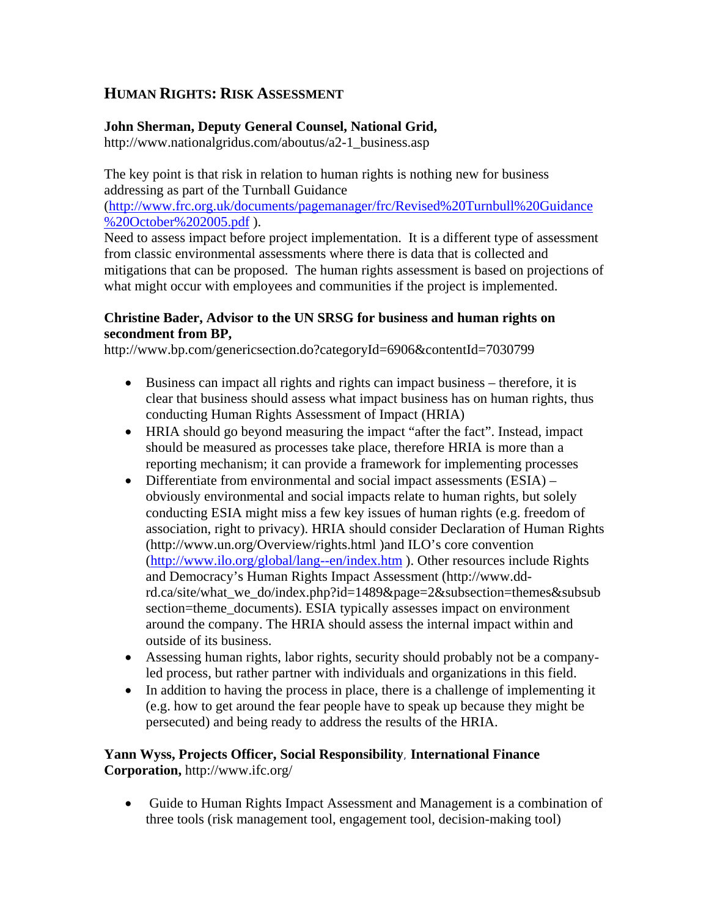## **HUMAN RIGHTS: RISK ASSESSMENT**

### **John Sherman, Deputy General Counsel, National Grid,**

http://www.nationalgridus.com/aboutus/a2-1\_business.asp

The key point is that risk in relation to human rights is nothing new for business addressing as part of the Turnball Guidance

(http://www.frc.org.uk/documents/pagemanager/frc/Revised%20Turnbull%20Guidance %20October%202005.pdf).

Need to assess impact before project implementation. It is a different type of assessment from classic environmental assessments where there is data that is collected and mitigations that can be proposed. The human rights assessment is based on projections of what might occur with employees and communities if the project is implemented.

### **Christine Bader, Advisor to the UN SRSG for business and human rights on secondment from BP,**

http://www.bp.com/genericsection.do?categoryId=6906&contentId=7030799

- Business can impact all rights and rights can impact business therefore, it is clear that business should assess what impact business has on human rights, thus conducting Human Rights Assessment of Impact (HRIA)
- HRIA should go beyond measuring the impact "after the fact". Instead, impact should be measured as processes take place, therefore HRIA is more than a reporting mechanism; it can provide a framework for implementing processes
- Differentiate from environmental and social impact assessments (ESIA) obviously environmental and social impacts relate to human rights, but solely conducting ESIA might miss a few key issues of human rights (e.g. freedom of association, right to privacy). HRIA should consider Declaration of Human Rights (http://www.un.org/Overview/rights.html )and ILO's core convention (http://www.ilo.org/global/lang--en/index.htm ). Other resources include Rights and Democracy's Human Rights Impact Assessment (http://www.ddrd.ca/site/what\_we\_do/index.php?id=1489&page=2&subsection=themes&subsub section=theme\_documents). ESIA typically assesses impact on environment around the company. The HRIA should assess the internal impact within and outside of its business.
- Assessing human rights, labor rights, security should probably not be a companyled process, but rather partner with individuals and organizations in this field.
- In addition to having the process in place, there is a challenge of implementing it (e.g. how to get around the fear people have to speak up because they might be persecuted) and being ready to address the results of the HRIA.

## **Yann Wyss, Projects Officer, Social Responsibility**, **International Finance Corporation,** http://www.ifc.org/

• Guide to Human Rights Impact Assessment and Management is a combination of three tools (risk management tool, engagement tool, decision-making tool)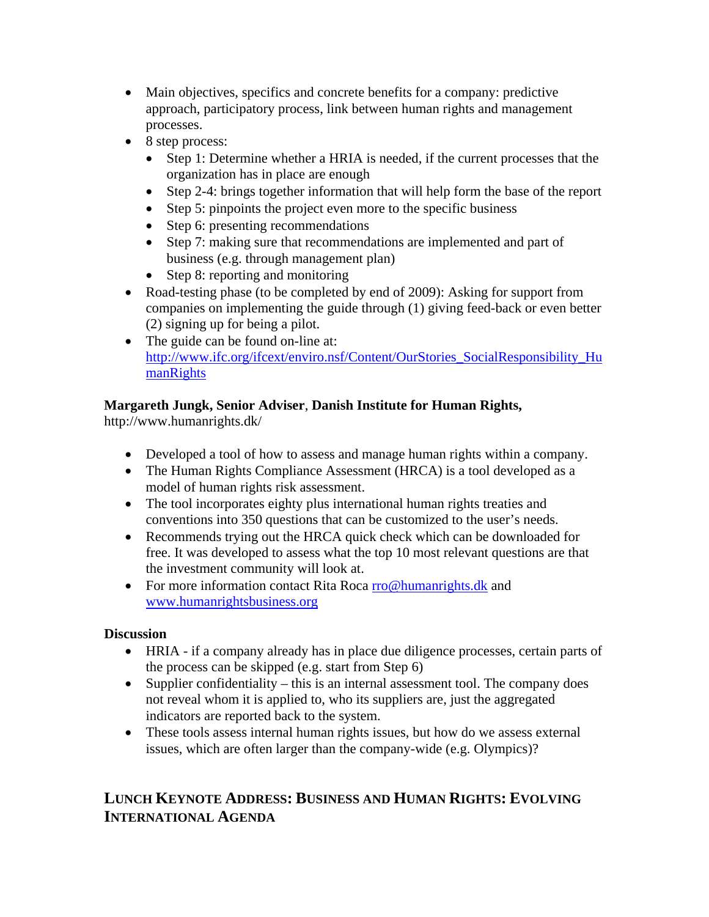- Main objectives, specifics and concrete benefits for a company: predictive approach, participatory process, link between human rights and management processes.
- 8 step process:
	- Step 1: Determine whether a HRIA is needed, if the current processes that the organization has in place are enough
	- Step 2-4: brings together information that will help form the base of the report
	- Step 5: pinpoints the project even more to the specific business
	- Step 6: presenting recommendations
	- Step 7: making sure that recommendations are implemented and part of business (e.g. through management plan)
	- Step 8: reporting and monitoring
- Road-testing phase (to be completed by end of 2009): Asking for support from companies on implementing the guide through (1) giving feed-back or even better (2) signing up for being a pilot.
- The guide can be found on-line at: http://www.ifc.org/ifcext/enviro.nsf/Content/OurStories\_SocialResponsibility\_Hu **manRights**

## **Margareth Jungk, Senior Adviser**, **Danish Institute for Human Rights,**

http://www.humanrights.dk/

- Developed a tool of how to assess and manage human rights within a company.
- The Human Rights Compliance Assessment (HRCA) is a tool developed as a model of human rights risk assessment.
- The tool incorporates eighty plus international human rights treaties and conventions into 350 questions that can be customized to the user's needs.
- Recommends trying out the HRCA quick check which can be downloaded for free. It was developed to assess what the top 10 most relevant questions are that the investment community will look at.
- For more information contact Rita Roca rro@humanrights.dk and www.humanrightsbusiness.org

## **Discussion**

- HRIA if a company already has in place due diligence processes, certain parts of the process can be skipped (e.g. start from Step 6)
- Supplier confidentiality this is an internal assessment tool. The company does not reveal whom it is applied to, who its suppliers are, just the aggregated indicators are reported back to the system.
- These tools assess internal human rights issues, but how do we assess external issues, which are often larger than the company-wide (e.g. Olympics)?

## **LUNCH KEYNOTE ADDRESS: BUSINESS AND HUMAN RIGHTS: EVOLVING INTERNATIONAL AGENDA**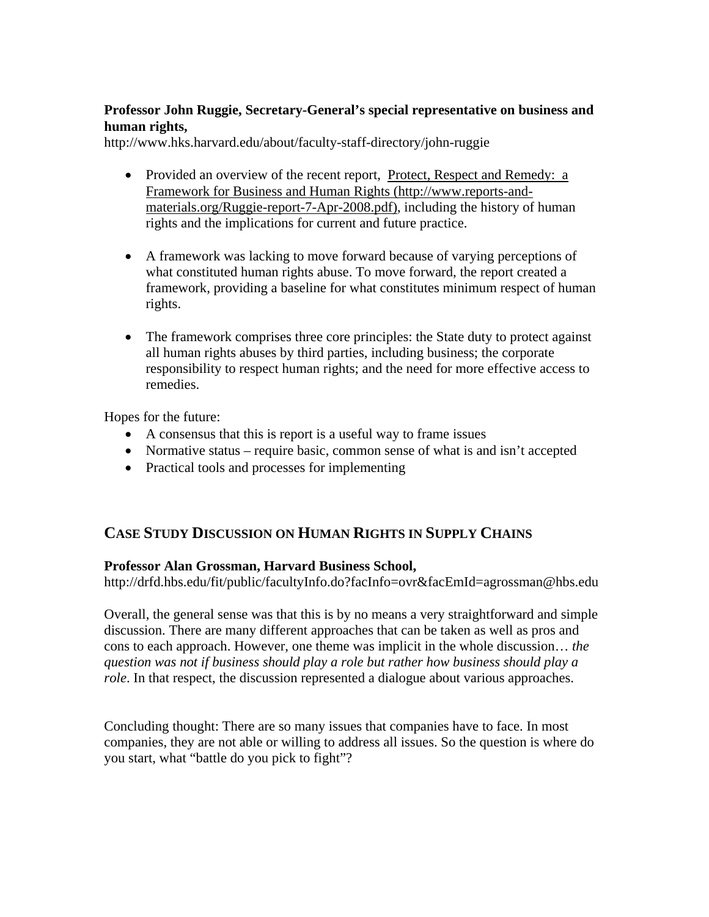### **Professor John Ruggie, Secretary-General's special representative on business and human rights,**

http://www.hks.harvard.edu/about/faculty-staff-directory/john-ruggie

- Provided an overview of the recent report, Protect, Respect and Remedy: a Framework for Business and Human Rights (http://www.reports-andmaterials.org/Ruggie-report-7-Apr-2008.pdf), including the history of human rights and the implications for current and future practice.
- A framework was lacking to move forward because of varying perceptions of what constituted human rights abuse. To move forward, the report created a framework, providing a baseline for what constitutes minimum respect of human rights.
- The framework comprises three core principles: the State duty to protect against all human rights abuses by third parties, including business; the corporate responsibility to respect human rights; and the need for more effective access to remedies.

Hopes for the future:

- A consensus that this is report is a useful way to frame issues
- Normative status require basic, common sense of what is and isn't accepted
- Practical tools and processes for implementing

## **CASE STUDY DISCUSSION ON HUMAN RIGHTS IN SUPPLY CHAINS**

### **Professor Alan Grossman, Harvard Business School,**

http://drfd.hbs.edu/fit/public/facultyInfo.do?facInfo=ovr&facEmId=agrossman@hbs.edu

Overall, the general sense was that this is by no means a very straightforward and simple discussion. There are many different approaches that can be taken as well as pros and cons to each approach. However, one theme was implicit in the whole discussion… *the question was not if business should play a role but rather how business should play a role*. In that respect, the discussion represented a dialogue about various approaches.

Concluding thought: There are so many issues that companies have to face. In most companies, they are not able or willing to address all issues. So the question is where do you start, what "battle do you pick to fight"?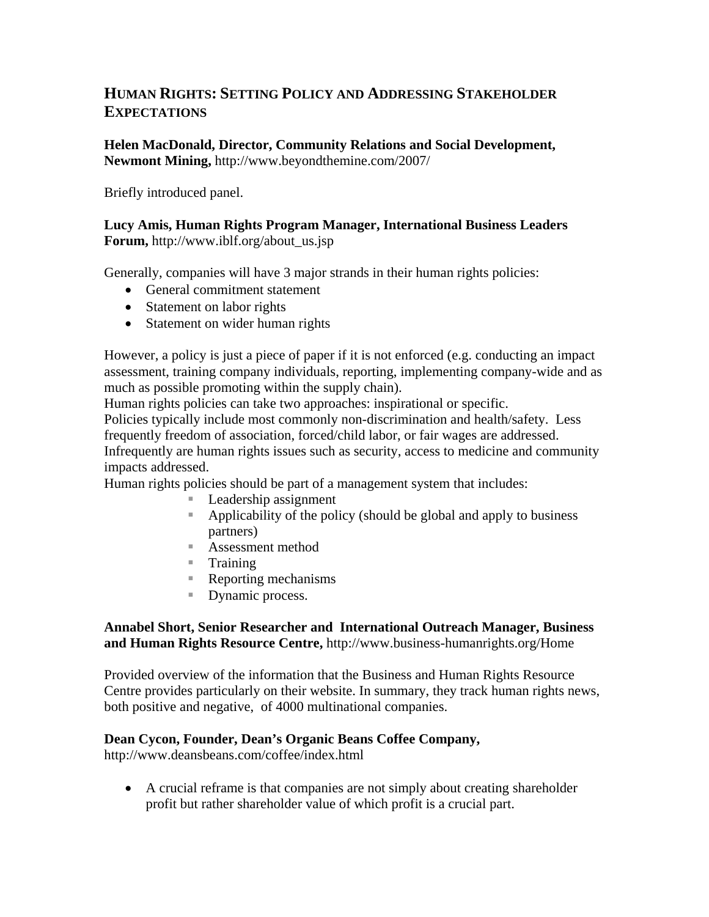## **HUMAN RIGHTS: SETTING POLICY AND ADDRESSING STAKEHOLDER EXPECTATIONS**

**Helen MacDonald, Director, Community Relations and Social Development, Newmont Mining,** http://www.beyondthemine.com/2007/

Briefly introduced panel.

#### **Lucy Amis, Human Rights Program Manager, International Business Leaders Forum,** http://www.iblf.org/about\_us.jsp

Generally, companies will have 3 major strands in their human rights policies:

- General commitment statement
- Statement on labor rights
- Statement on wider human rights

However, a policy is just a piece of paper if it is not enforced (e.g. conducting an impact assessment, training company individuals, reporting, implementing company-wide and as much as possible promoting within the supply chain).

Human rights policies can take two approaches: inspirational or specific.

Policies typically include most commonly non-discrimination and health/safety. Less frequently freedom of association, forced/child labor, or fair wages are addressed. Infrequently are human rights issues such as security, access to medicine and community impacts addressed.

Human rights policies should be part of a management system that includes:

- **Leadership assignment**
- Applicability of the policy (should be global and apply to business partners)
- Assessment method
- $\blacksquare$  Training
- Reporting mechanisms
- Dynamic process.

#### **Annabel Short, Senior Researcher and International Outreach Manager, Business and Human Rights Resource Centre,** http://www.business-humanrights.org/Home

Provided overview of the information that the Business and Human Rights Resource Centre provides particularly on their website. In summary, they track human rights news, both positive and negative, of 4000 multinational companies.

### **Dean Cycon, Founder, Dean's Organic Beans Coffee Company,**

http://www.deansbeans.com/coffee/index.html

• A crucial reframe is that companies are not simply about creating shareholder profit but rather shareholder value of which profit is a crucial part.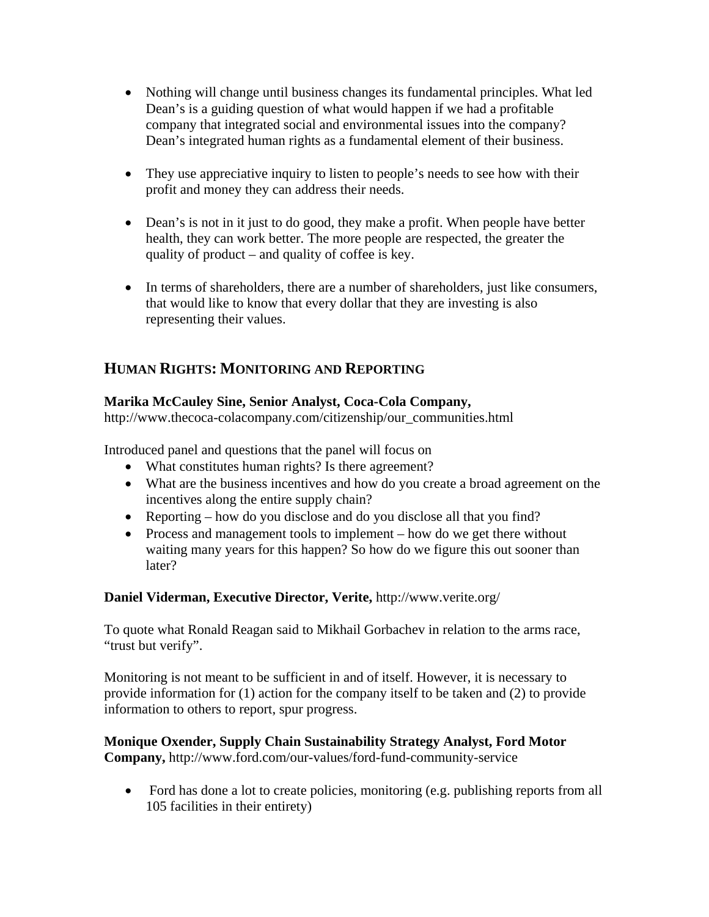- Nothing will change until business changes its fundamental principles. What led Dean's is a guiding question of what would happen if we had a profitable company that integrated social and environmental issues into the company? Dean's integrated human rights as a fundamental element of their business.
- They use appreciative inquiry to listen to people's needs to see how with their profit and money they can address their needs.
- Dean's is not in it just to do good, they make a profit. When people have better health, they can work better. The more people are respected, the greater the quality of product – and quality of coffee is key.
- In terms of shareholders, there are a number of shareholders, just like consumers, that would like to know that every dollar that they are investing is also representing their values.

## **HUMAN RIGHTS: MONITORING AND REPORTING**

### **Marika McCauley Sine, Senior Analyst, Coca-Cola Company,**

http://www.thecoca-colacompany.com/citizenship/our\_communities.html

Introduced panel and questions that the panel will focus on

- What constitutes human rights? Is there agreement?
- What are the business incentives and how do you create a broad agreement on the incentives along the entire supply chain?
- Reporting how do you disclose and do you disclose all that you find?
- Process and management tools to implement how do we get there without waiting many years for this happen? So how do we figure this out sooner than later?

**Daniel Viderman, Executive Director, Verite,** http://www.verite.org/

To quote what Ronald Reagan said to Mikhail Gorbachev in relation to the arms race, "trust but verify".

Monitoring is not meant to be sufficient in and of itself. However, it is necessary to provide information for (1) action for the company itself to be taken and (2) to provide information to others to report, spur progress.

**Monique Oxender, Supply Chain Sustainability Strategy Analyst, Ford Motor Company,** http://www.ford.com/our-values/ford-fund-community-service

• Ford has done a lot to create policies, monitoring (e.g. publishing reports from all 105 facilities in their entirety)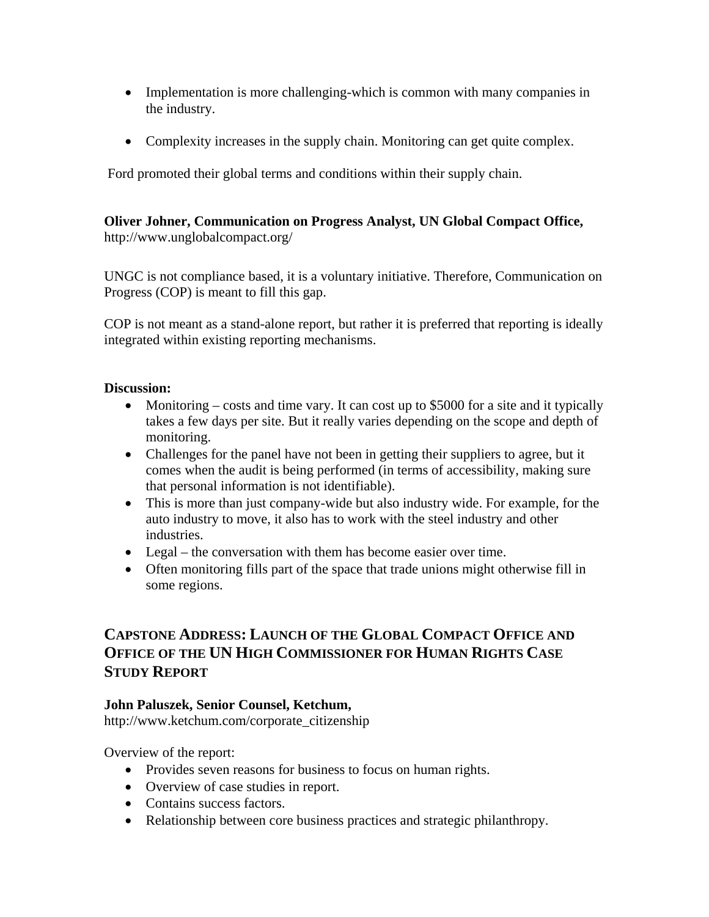- Implementation is more challenging-which is common with many companies in the industry.
- Complexity increases in the supply chain. Monitoring can get quite complex.

Ford promoted their global terms and conditions within their supply chain.

#### **Oliver Johner, Communication on Progress Analyst, UN Global Compact Office,**  http://www.unglobalcompact.org/

UNGC is not compliance based, it is a voluntary initiative. Therefore, Communication on Progress (COP) is meant to fill this gap.

COP is not meant as a stand-alone report, but rather it is preferred that reporting is ideally integrated within existing reporting mechanisms.

#### **Discussion:**

- Monitoring costs and time vary. It can cost up to \$5000 for a site and it typically takes a few days per site. But it really varies depending on the scope and depth of monitoring.
- Challenges for the panel have not been in getting their suppliers to agree, but it comes when the audit is being performed (in terms of accessibility, making sure that personal information is not identifiable).
- This is more than just company-wide but also industry wide. For example, for the auto industry to move, it also has to work with the steel industry and other industries.
- Legal the conversation with them has become easier over time.
- Often monitoring fills part of the space that trade unions might otherwise fill in some regions.

## **CAPSTONE ADDRESS: LAUNCH OF THE GLOBAL COMPACT OFFICE AND OFFICE OF THE UN HIGH COMMISSIONER FOR HUMAN RIGHTS CASE STUDY REPORT**

### **John Paluszek, Senior Counsel, Ketchum,**

http://www.ketchum.com/corporate\_citizenship

Overview of the report:

- Provides seven reasons for business to focus on human rights.
- Overview of case studies in report.
- Contains success factors.
- Relationship between core business practices and strategic philanthropy.